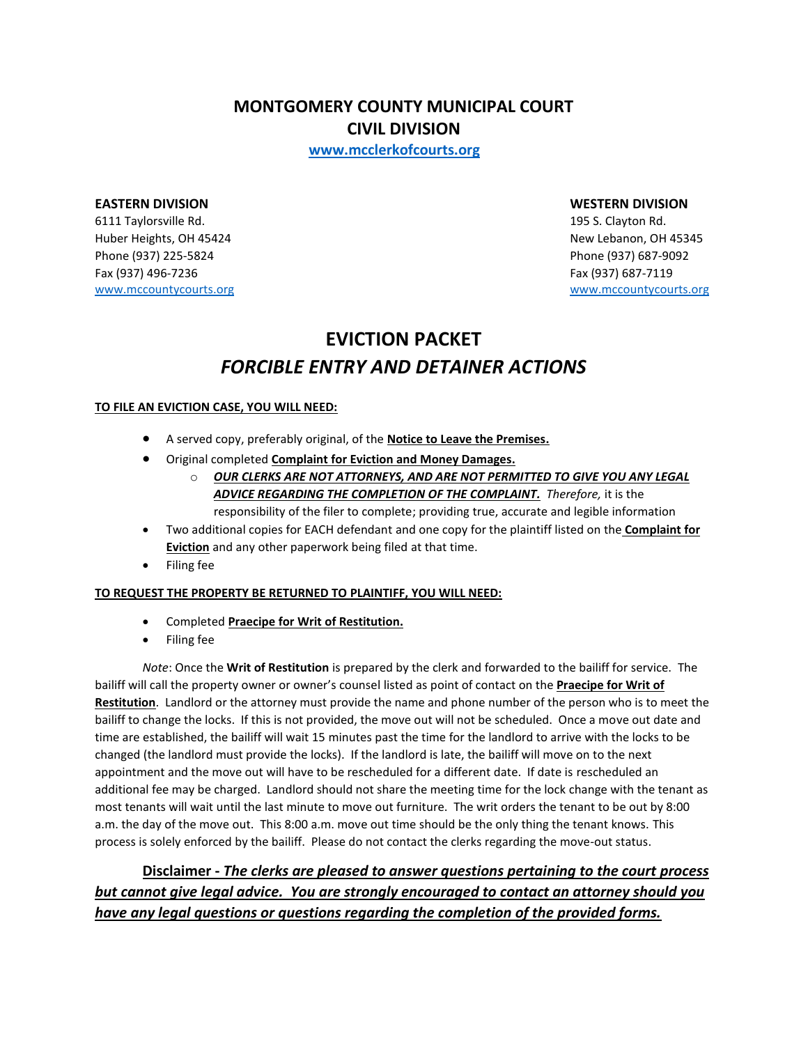**MONTGOMERY COUNTY MUNICIPAL COURT CIVIL DIVISION**

**[www.mcclerkofcourts.org](http://www.mcclerkofcourts.org/)**

#### **EASTERN DIVISION WESTERN DIVISION**

6111 Taylorsville Rd. 195 S. Clayton Rd. Huber Heights, OH 45424 New Lebanon, OH 45345 Phone (937) 225-5824 Phone (937) 687-9092 Fax (937) 496-7236 Fax (937) 687-7119 [www.mccountycourts.org](http://www.mccountycourts.org/) [www.mccountycourts.org](http://www.mccountycourts.org/)

# **EVICTION PACKET** *FORCIBLE ENTRY AND DETAINER ACTIONS*

#### **TO FILE AN EVICTION CASE, YOU WILL NEED:**

- A served copy, preferably original, of the **Notice to Leave the Premises.**
- Original completed **Complaint for Eviction and Money Damages.**
	- o *OUR CLERKS ARE NOT ATTORNEYS, AND ARE NOT PERMITTED TO GIVE YOU ANY LEGAL ADVICE REGARDING THE COMPLETION OF THE COMPLAINT. Therefore,* it is the responsibility of the filer to complete; providing true, accurate and legible information
- Two additional copies for EACH defendant and one copy for the plaintiff listed on the **Complaint for Eviction** and any other paperwork being filed at that time.
- Filing fee

#### **TO REQUEST THE PROPERTY BE RETURNED TO PLAINTIFF, YOU WILL NEED:**

- Completed **Praecipe for Writ of Restitution.**
- Filing fee

*Note*: Once the **Writ of Restitution** is prepared by the clerk and forwarded to the bailiff for service. The bailiff will call the property owner or owner's counsel listed as point of contact on the **Praecipe for Writ of Restitution**. Landlord or the attorney must provide the name and phone number of the person who is to meet the bailiff to change the locks. If this is not provided, the move out will not be scheduled. Once a move out date and time are established, the bailiff will wait 15 minutes past the time for the landlord to arrive with the locks to be changed (the landlord must provide the locks). If the landlord is late, the bailiff will move on to the next appointment and the move out will have to be rescheduled for a different date. If date is rescheduled an additional fee may be charged. Landlord should not share the meeting time for the lock change with the tenant as most tenants will wait until the last minute to move out furniture. The writ orders the tenant to be out by 8:00 a.m. the day of the move out. This 8:00 a.m. move out time should be the only thing the tenant knows. This process is solely enforced by the bailiff. Please do not contact the clerks regarding the move-out status.

**Disclaimer -** *The clerks are pleased to answer questions pertaining to the court process but cannot give legal advice. You are strongly encouraged to contact an attorney should you have any legal questions or questions regarding the completion of the provided forms.*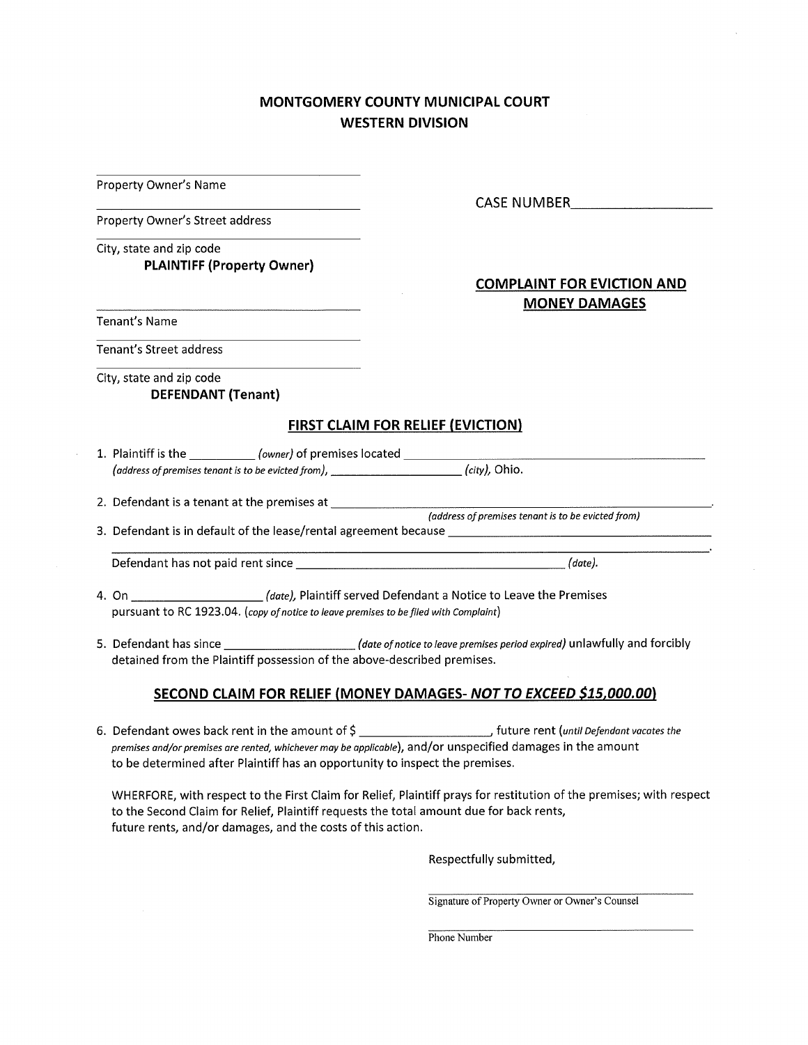### **MONTGOMERY COUNTY MUNICIPAL COURT WESTERN DIVISION**

**Property Owner's Name** 

**Property Owner's Street address** 

City, state and zip code **PLAINTIFF (Property Owner)** 

Tenant's Name

Tenant's Street address

City, state and zip code **DEFENDANT (Tenant)** 

#### **FIRST CLAIM FOR RELIEF (EVICTION)**

1. Plaintiff is the \_\_\_\_\_\_\_\_\_\_\_\_ (owner) of premises located \_\_\_\_\_\_\_\_\_ (address of premises tenant is to be evicted from), \_\_\_\_\_\_\_\_\_\_\_\_\_\_\_\_\_\_\_\_\_(city), Ohio.

3. Defendant is in default of the lease/rental agreement because \_\_\_\_\_\_\_\_\_\_\_\_\_\_\_

(date), Plaintiff served Defendant a Notice to Leave the Premises 4. On pursuant to RC 1923.04. (copy of notice to leave premises to be filed with Complaint)

5. Defendant has since \_\_\_\_\_\_\_\_\_\_\_\_\_\_\_\_\_\_\_\_\_\_(date of notice to leave premises period expired) unlawfully and forcibly detained from the Plaintiff possession of the above-described premises.

#### SECOND CLAIM FOR RELIEF (MONEY DAMAGES-NOT TO EXCEED \$15,000.00)

premises and/or premises are rented, whichever may be applicable), and/or unspecified damages in the amount to be determined after Plaintiff has an opportunity to inspect the premises.

WHERFORE, with respect to the First Claim for Relief, Plaintiff prays for restitution of the premises; with respect to the Second Claim for Relief, Plaintiff requests the total amount due for back rents, future rents, and/or damages, and the costs of this action.

Respectfully submitted,

Signature of Property Owner or Owner's Counsel

Phone Number

CASE NUMBER **Analysis** 

#### **COMPLAINT FOR EVICTION AND MONEY DAMAGES**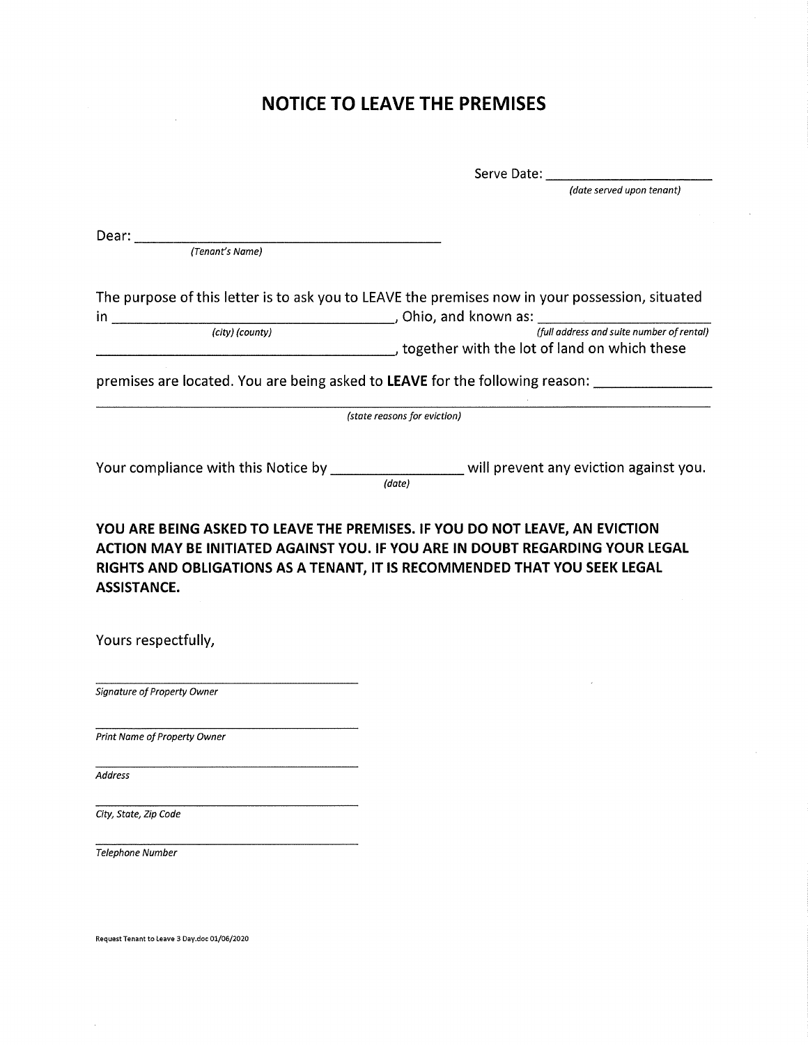# **NOTICE TO LEAVE THE PREMISES**

|                              | (date served upon tenant)                                                                           |  |
|------------------------------|-----------------------------------------------------------------------------------------------------|--|
| Dear:                        |                                                                                                     |  |
| (Tenant's Name)              |                                                                                                     |  |
|                              |                                                                                                     |  |
|                              | The purpose of this letter is to ask you to LEAVE the premises now in your possession, situated     |  |
|                              |                                                                                                     |  |
|                              | together with the lot of land on which these                                                        |  |
|                              | premises are located. You are being asked to LEAVE for the following reason: ______________________ |  |
|                              | (state reasons for eviction)                                                                        |  |
|                              |                                                                                                     |  |
|                              | Your compliance with this Notice by ______________________ will prevent any eviction against you.   |  |
|                              | (date)                                                                                              |  |
|                              | YOU ARE BEING ASKED TO LEAVE THE PREMISES. IF YOU DO NOT LEAVE, AN EVICTION                         |  |
|                              | ACTION MAY BE INITIATED AGAINST YOU. IF YOU ARE IN DOUBT REGARDING YOUR LEGAL                       |  |
|                              | RIGHTS AND OBLIGATIONS AS A TENANT, IT IS RECOMMENDED THAT YOU SEEK LEGAL                           |  |
| <b>ASSISTANCE.</b>           |                                                                                                     |  |
|                              |                                                                                                     |  |
| Yours respectfully,          |                                                                                                     |  |
|                              |                                                                                                     |  |
| Signature of Property Owner  |                                                                                                     |  |
|                              |                                                                                                     |  |
| Print Name of Property Owner |                                                                                                     |  |
|                              |                                                                                                     |  |
| <b>Address</b>               |                                                                                                     |  |
| City, State, Zip Code        |                                                                                                     |  |
|                              |                                                                                                     |  |
| <b>Telephone Number</b>      |                                                                                                     |  |
|                              |                                                                                                     |  |
|                              |                                                                                                     |  |
|                              |                                                                                                     |  |

Request Tenant to Leave 3 Day.doc 01/06/2020

 $\bar{\omega}$